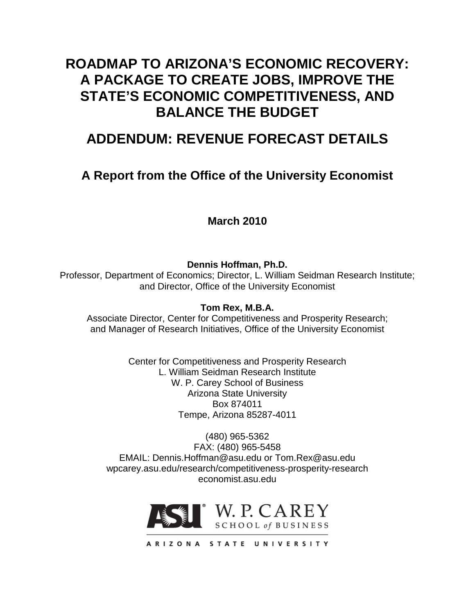# **ROADMAP TO ARIZONA'S ECONOMIC RECOVERY: A PACKAGE TO CREATE JOBS, IMPROVE THE STATE'S ECONOMIC COMPETITIVENESS, AND BALANCE THE BUDGET**

# **ADDENDUM: REVENUE FORECAST DETAILS**

## **A Report from the Office of the University Economist**

### **March 2010**

**Dennis Hoffman, Ph.D.**

Professor, Department of Economics; Director, L. William Seidman Research Institute; and Director, Office of the University Economist

### **Tom Rex, M.B.A.**

Associate Director, Center for Competitiveness and Prosperity Research; and Manager of Research Initiatives, Office of the University Economist

> Center for Competitiveness and Prosperity Research L. William Seidman Research Institute W. P. Carey School of Business Arizona State University Box 874011 Tempe, Arizona 85287-4011

(480) 965-5362 FAX: (480) 965-5458 EMAIL: Dennis.Hoffman@asu.edu or Tom.Rex@asu.edu wpcarey.asu.edu/research/competitiveness-prosperity-research economist.asu.edu



ARIZONA STATE UNIVERSITY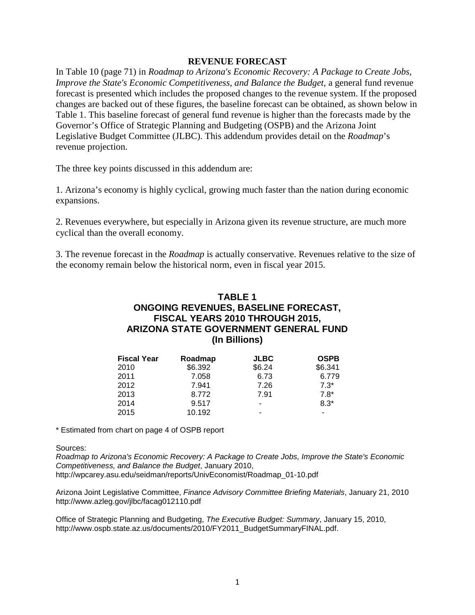#### **REVENUE FORECAST**

In Table 10 (page 71) in *Roadmap to Arizona's Economic Recovery: A Package to Create Jobs, Improve the State's Economic Competitiveness, and Balance the Budget*, a general fund revenue forecast is presented which includes the proposed changes to the revenue system. If the proposed changes are backed out of these figures, the baseline forecast can be obtained, as shown below in Table 1. This baseline forecast of general fund revenue is higher than the forecasts made by the Governor's Office of Strategic Planning and Budgeting (OSPB) and the Arizona Joint Legislative Budget Committee (JLBC). This addendum provides detail on the *Roadmap*'s revenue projection.

The three key points discussed in this addendum are:

1. Arizona's economy is highly cyclical, growing much faster than the nation during economic expansions.

2. Revenues everywhere, but especially in Arizona given its revenue structure, are much more cyclical than the overall economy.

3. The revenue forecast in the *Roadmap* is actually conservative. Revenues relative to the size of the economy remain below the historical norm, even in fiscal year 2015.

### **TABLE 1 ONGOING REVENUES, BASELINE FORECAST, FISCAL YEARS 2010 THROUGH 2015, ARIZONA STATE GOVERNMENT GENERAL FUND (In Billions)**

| <b>Fiscal Year</b> | Roadmap | <b>JLBC</b> | <b>OSPB</b> |
|--------------------|---------|-------------|-------------|
| 2010               | \$6.392 | \$6.24      | \$6.341     |
| 2011               | 7.058   | 6.73        | 6.779       |
| 2012               | 7.941   | 7.26        | $7.3*$      |
| 2013               | 8.772   | 7.91        | $7.8*$      |
| 2014               | 9.517   | -           | $8.3*$      |
| 2015               | 10.192  |             |             |

\* Estimated from chart on page 4 of OSPB report

Sources:

*Roadmap to Arizona's Economic Recovery: A Package to Create Jobs, Improve the State's Economic Competitiveness, and Balance the Budget*, January 2010, http://wpcarey.asu.edu/seidman/reports/UnivEconomist/Roadmap\_01-10.pdf

Arizona Joint Legislative Committee, *Finance Advisory Committee Briefing Materials*, January 21, 2010 http://www.azleg.gov/jlbc/facag012110.pdf

Office of Strategic Planning and Budgeting, *The Executive Budget: Summary*, January 15, 2010, http://www.ospb.state.az.us/documents/2010/FY2011\_BudgetSummaryFINAL.pdf.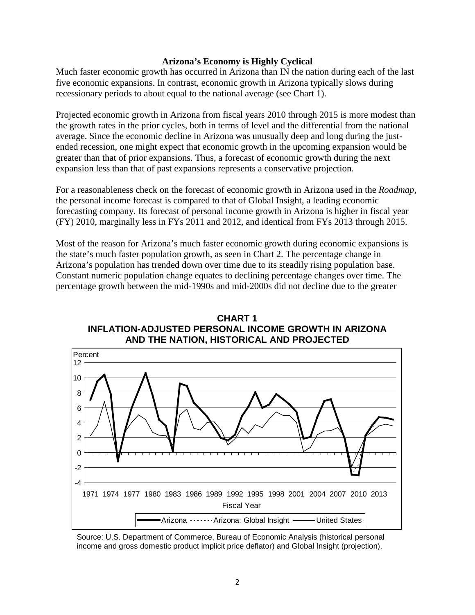#### **Arizona's Economy is Highly Cyclical**

Much faster economic growth has occurred in Arizona than IN the nation during each of the last five economic expansions. In contrast, economic growth in Arizona typically slows during recessionary periods to about equal to the national average (see Chart 1).

Projected economic growth in Arizona from fiscal years 2010 through 2015 is more modest than the growth rates in the prior cycles, both in terms of level and the differential from the national average. Since the economic decline in Arizona was unusually deep and long during the justended recession, one might expect that economic growth in the upcoming expansion would be greater than that of prior expansions. Thus, a forecast of economic growth during the next expansion less than that of past expansions represents a conservative projection.

For a reasonableness check on the forecast of economic growth in Arizona used in the *Roadmap*, the personal income forecast is compared to that of Global Insight, a leading economic forecasting company. Its forecast of personal income growth in Arizona is higher in fiscal year (FY) 2010, marginally less in FYs 2011 and 2012, and identical from FYs 2013 through 2015.

Most of the reason for Arizona's much faster economic growth during economic expansions is the state's much faster population growth, as seen in Chart 2. The percentage change in Arizona's population has trended down over time due to its steadily rising population base. Constant numeric population change equates to declining percentage changes over time. The percentage growth between the mid-1990s and mid-2000s did not decline due to the greater



**CHART 1 INFLATION-ADJUSTED PERSONAL INCOME GROWTH IN ARIZONA AND THE NATION, HISTORICAL AND PROJECTED**

Source: U.S. Department of Commerce, Bureau of Economic Analysis (historical personal income and gross domestic product implicit price deflator) and Global Insight (projection).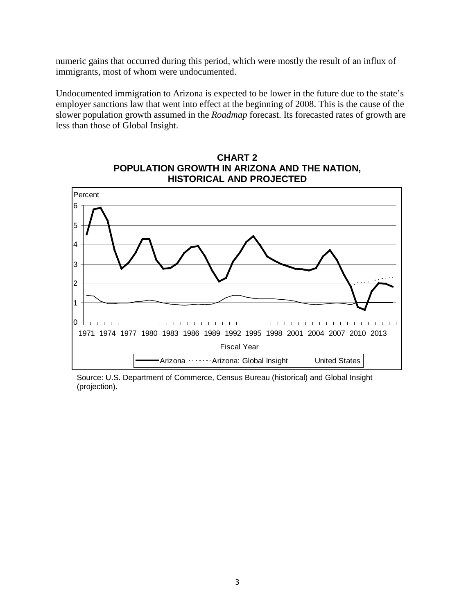numeric gains that occurred during this period, which were mostly the result of an influx of immigrants, most of whom were undocumented.

Undocumented immigration to Arizona is expected to be lower in the future due to the state's employer sanctions law that went into effect at the beginning of 2008. This is the cause of the slower population growth assumed in the *Roadmap* forecast. Its forecasted rates of growth are less than those of Global Insight.



**CHART 2 POPULATION GROWTH IN ARIZONA AND THE NATION, HISTORICAL AND PROJECTED**

Source: U.S. Department of Commerce, Census Bureau (historical) and Global Insight (projection).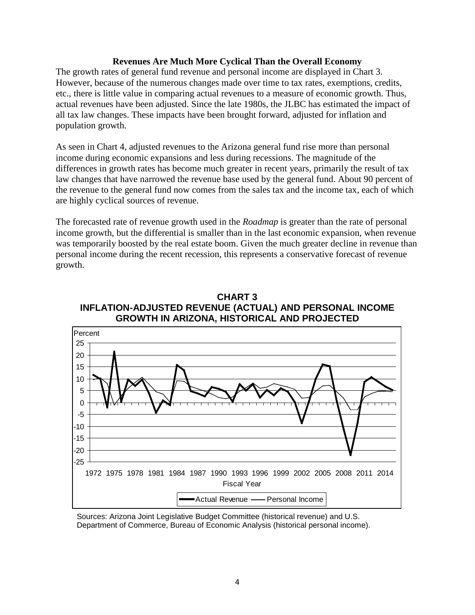#### **Revenues Are Much More Cyclical Than the Overall Economy**

The growth rates of general fund revenue and personal income are displayed in Chart 3. However, because of the numerous changes made over time to tax rates, exemptions, credits, etc., there is little value in comparing actual revenues to a measure of economic growth. Thus, actual revenues have been adjusted. Since the late 1980s, the JLBC has estimated the impact of all tax law changes. These impacts have been brought forward, adjusted for inflation and population growth.

As seen in Chart 4, adjusted revenues to the Arizona general fund rise more than personal income during economic expansions and less during recessions. The magnitude of the differences in growth rates has become much greater in recent years, primarily the result of tax law changes that have narrowed the revenue base used by the general fund. About 90 percent of the revenue to the general fund now comes from the sales tax and the income tax, each of which are highly cyclical sources of revenue.

The forecasted rate of revenue growth used in the *Roadmap* is greater than the rate of personal income growth, but the differential is smaller than in the last economic expansion, when revenue was temporarily boosted by the real estate boom. Given the much greater decline in revenue than personal income during the recent recession, this represents a conservative forecast of revenue growth.





Sources: Arizona Joint Legislative Budget Committee (historical revenue) and U.S. Department of Commerce, Bureau of Economic Analysis (historical personal income).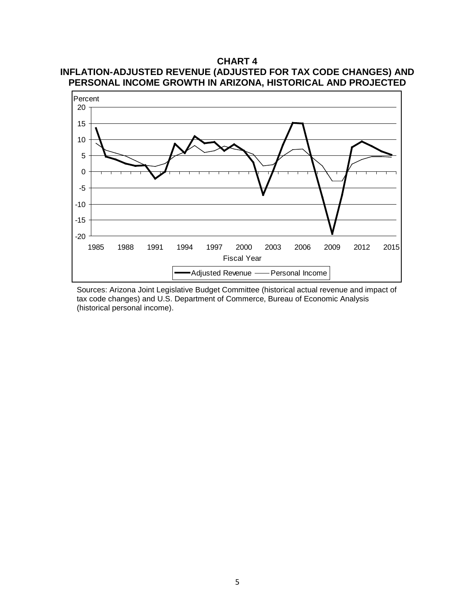

**CHART 4 INFLATION-ADJUSTED REVENUE (ADJUSTED FOR TAX CODE CHANGES) AND**

Sources: Arizona Joint Legislative Budget Committee (historical actual revenue and impact of tax code changes) and U.S. Department of Commerce, Bureau of Economic Analysis (historical personal income).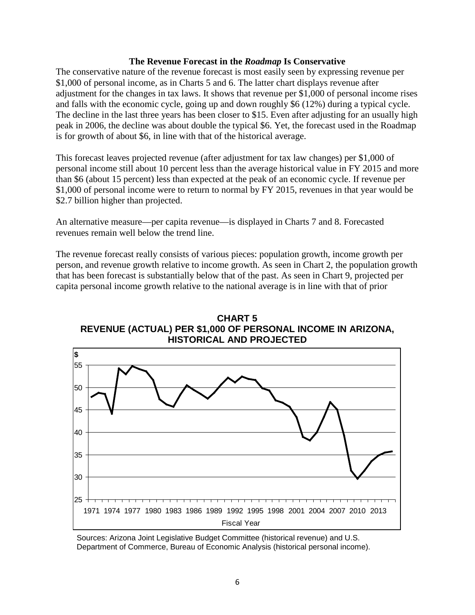#### **The Revenue Forecast in the** *Roadmap* **Is Conservative**

The conservative nature of the revenue forecast is most easily seen by expressing revenue per \$1,000 of personal income, as in Charts 5 and 6. The latter chart displays revenue after adjustment for the changes in tax laws. It shows that revenue per \$1,000 of personal income rises and falls with the economic cycle, going up and down roughly \$6 (12%) during a typical cycle. The decline in the last three years has been closer to \$15. Even after adjusting for an usually high peak in 2006, the decline was about double the typical \$6. Yet, the forecast used in the Roadmap is for growth of about \$6, in line with that of the historical average.

This forecast leaves projected revenue (after adjustment for tax law changes) per \$1,000 of personal income still about 10 percent less than the average historical value in FY 2015 and more than \$6 (about 15 percent) less than expected at the peak of an economic cycle. If revenue per \$1,000 of personal income were to return to normal by FY 2015, revenues in that year would be \$2.7 billion higher than projected.

An alternative measure—per capita revenue—is displayed in Charts 7 and 8. Forecasted revenues remain well below the trend line.

The revenue forecast really consists of various pieces: population growth, income growth per person, and revenue growth relative to income growth. As seen in Chart 2, the population growth that has been forecast is substantially below that of the past. As seen in Chart 9, projected per capita personal income growth relative to the national average is in line with that of prior



**CHART 5 REVENUE (ACTUAL) PER \$1,000 OF PERSONAL INCOME IN ARIZONA, HISTORICAL AND PROJECTED**

Sources: Arizona Joint Legislative Budget Committee (historical revenue) and U.S. Department of Commerce, Bureau of Economic Analysis (historical personal income).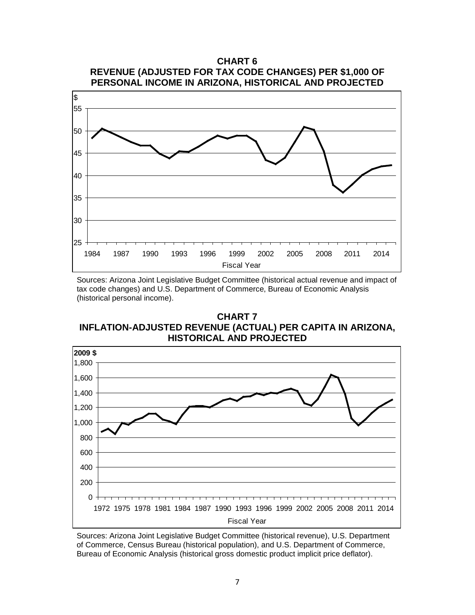

Sources: Arizona Joint Legislative Budget Committee (historical actual revenue and impact of tax code changes) and U.S. Department of Commerce, Bureau of Economic Analysis (historical personal income).

**CHART 7 INFLATION-ADJUSTED REVENUE (ACTUAL) PER CAPITA IN ARIZONA, HISTORICAL AND PROJECTED**



Sources: Arizona Joint Legislative Budget Committee (historical revenue), U.S. Department of Commerce, Census Bureau (historical population), and U.S. Department of Commerce, Bureau of Economic Analysis (historical gross domestic product implicit price deflator).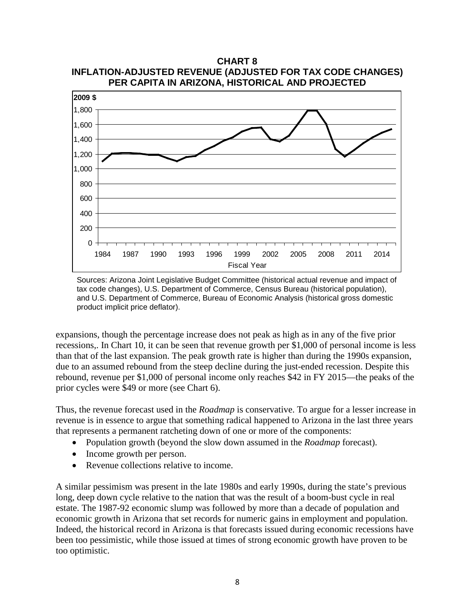

**CHART 8**



expansions, though the percentage increase does not peak as high as in any of the five prior recessions,. In Chart 10, it can be seen that revenue growth per \$1,000 of personal income is less than that of the last expansion. The peak growth rate is higher than during the 1990s expansion, due to an assumed rebound from the steep decline during the just-ended recession. Despite this rebound, revenue per \$1,000 of personal income only reaches \$42 in FY 2015—the peaks of the prior cycles were \$49 or more (see Chart 6).

Thus, the revenue forecast used in the *Roadmap* is conservative. To argue for a lesser increase in revenue is in essence to argue that something radical happened to Arizona in the last three years that represents a permanent ratcheting down of one or more of the components:

- Population growth (beyond the slow down assumed in the *Roadmap* forecast).
- Income growth per person.
- Revenue collections relative to income.

A similar pessimism was present in the late 1980s and early 1990s, during the state's previous long, deep down cycle relative to the nation that was the result of a boom-bust cycle in real estate. The 1987-92 economic slump was followed by more than a decade of population and economic growth in Arizona that set records for numeric gains in employment and population. Indeed, the historical record in Arizona is that forecasts issued during economic recessions have been too pessimistic, while those issued at times of strong economic growth have proven to be too optimistic.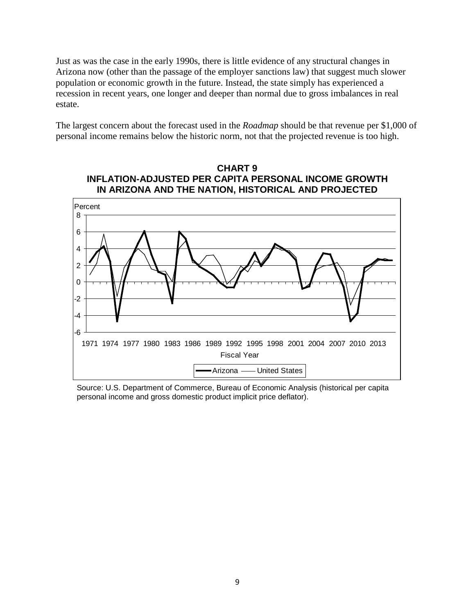Just as was the case in the early 1990s, there is little evidence of any structural changes in Arizona now (other than the passage of the employer sanctions law) that suggest much slower population or economic growth in the future. Instead, the state simply has experienced a recession in recent years, one longer and deeper than normal due to gross imbalances in real estate.

The largest concern about the forecast used in the *Roadmap* should be that revenue per \$1,000 of personal income remains below the historic norm, not that the projected revenue is too high.





Source: U.S. Department of Commerce, Bureau of Economic Analysis (historical per capita personal income and gross domestic product implicit price deflator).